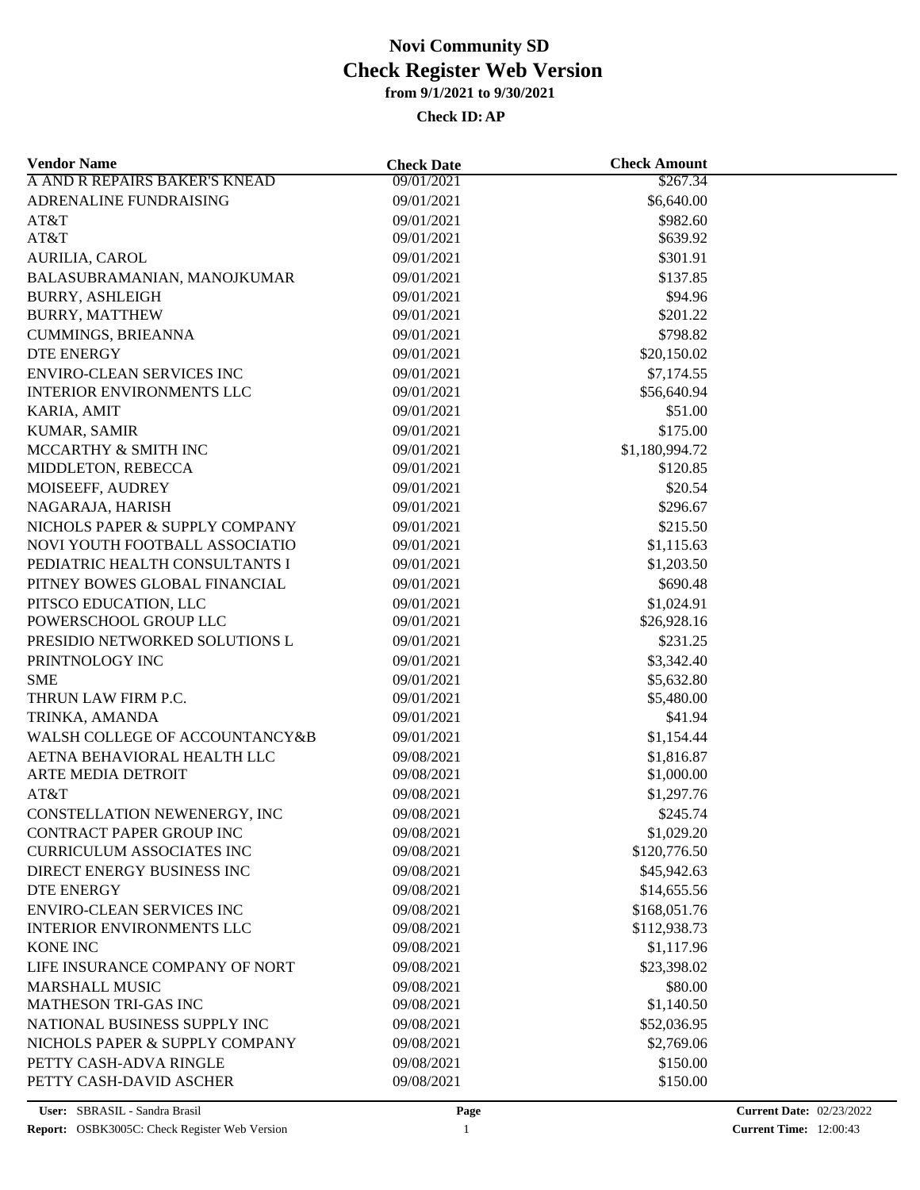| <b>Vendor Name</b>               | <b>Check Date</b> | <b>Check Amount</b> |  |
|----------------------------------|-------------------|---------------------|--|
| A AND R REPAIRS BAKER'S KNEAD    | 09/01/2021        | \$267.34            |  |
| ADRENALINE FUNDRAISING           | 09/01/2021        | \$6,640.00          |  |
| AT&T                             | 09/01/2021        | \$982.60            |  |
| AT&T                             | 09/01/2021        | \$639.92            |  |
| AURILIA, CAROL                   | 09/01/2021        | \$301.91            |  |
| BALASUBRAMANIAN, MANOJKUMAR      | 09/01/2021        | \$137.85            |  |
| <b>BURRY, ASHLEIGH</b>           | 09/01/2021        | \$94.96             |  |
| <b>BURRY, MATTHEW</b>            | 09/01/2021        | \$201.22            |  |
| <b>CUMMINGS, BRIEANNA</b>        | 09/01/2021        | \$798.82            |  |
| <b>DTE ENERGY</b>                | 09/01/2021        | \$20,150.02         |  |
| <b>ENVIRO-CLEAN SERVICES INC</b> | 09/01/2021        | \$7,174.55          |  |
| <b>INTERIOR ENVIRONMENTS LLC</b> | 09/01/2021        | \$56,640.94         |  |
| KARIA, AMIT                      | 09/01/2021        | \$51.00             |  |
| KUMAR, SAMIR                     | 09/01/2021        | \$175.00            |  |
| MCCARTHY & SMITH INC             | 09/01/2021        | \$1,180,994.72      |  |
| MIDDLETON, REBECCA               | 09/01/2021        | \$120.85            |  |
| MOISEEFF, AUDREY                 | 09/01/2021        | \$20.54             |  |
| NAGARAJA, HARISH                 | 09/01/2021        | \$296.67            |  |
| NICHOLS PAPER & SUPPLY COMPANY   | 09/01/2021        | \$215.50            |  |
| NOVI YOUTH FOOTBALL ASSOCIATIO   | 09/01/2021        | \$1,115.63          |  |
| PEDIATRIC HEALTH CONSULTANTS I   | 09/01/2021        | \$1,203.50          |  |
| PITNEY BOWES GLOBAL FINANCIAL    | 09/01/2021        | \$690.48            |  |
| PITSCO EDUCATION, LLC            | 09/01/2021        | \$1,024.91          |  |
| POWERSCHOOL GROUP LLC            | 09/01/2021        | \$26,928.16         |  |
| PRESIDIO NETWORKED SOLUTIONS L   | 09/01/2021        | \$231.25            |  |
| PRINTNOLOGY INC                  | 09/01/2021        | \$3,342.40          |  |
| <b>SME</b>                       | 09/01/2021        | \$5,632.80          |  |
| THRUN LAW FIRM P.C.              | 09/01/2021        | \$5,480.00          |  |
| TRINKA, AMANDA                   | 09/01/2021        | \$41.94             |  |
| WALSH COLLEGE OF ACCOUNTANCY&B   | 09/01/2021        | \$1,154.44          |  |
| AETNA BEHAVIORAL HEALTH LLC      | 09/08/2021        | \$1,816.87          |  |
| ARTE MEDIA DETROIT               | 09/08/2021        | \$1,000.00          |  |
| AT&T                             | 09/08/2021        | \$1,297.76          |  |
| CONSTELLATION NEWENERGY, INC     | 09/08/2021        | \$245.74            |  |
| CONTRACT PAPER GROUP INC         | 09/08/2021        | \$1,029.20          |  |
| <b>CURRICULUM ASSOCIATES INC</b> | 09/08/2021        | \$120,776.50        |  |
| DIRECT ENERGY BUSINESS INC       | 09/08/2021        | \$45,942.63         |  |
| <b>DTE ENERGY</b>                | 09/08/2021        | \$14,655.56         |  |
| <b>ENVIRO-CLEAN SERVICES INC</b> | 09/08/2021        | \$168,051.76        |  |
| <b>INTERIOR ENVIRONMENTS LLC</b> | 09/08/2021        | \$112,938.73        |  |
| <b>KONE INC</b>                  | 09/08/2021        | \$1,117.96          |  |
|                                  |                   |                     |  |
| LIFE INSURANCE COMPANY OF NORT   | 09/08/2021        | \$23,398.02         |  |
| <b>MARSHALL MUSIC</b>            | 09/08/2021        | \$80.00             |  |
| MATHESON TRI-GAS INC             | 09/08/2021        | \$1,140.50          |  |
| NATIONAL BUSINESS SUPPLY INC     | 09/08/2021        | \$52,036.95         |  |
| NICHOLS PAPER & SUPPLY COMPANY   | 09/08/2021        | \$2,769.06          |  |
| PETTY CASH-ADVA RINGLE           | 09/08/2021        | \$150.00            |  |
| PETTY CASH-DAVID ASCHER          | 09/08/2021        | \$150.00            |  |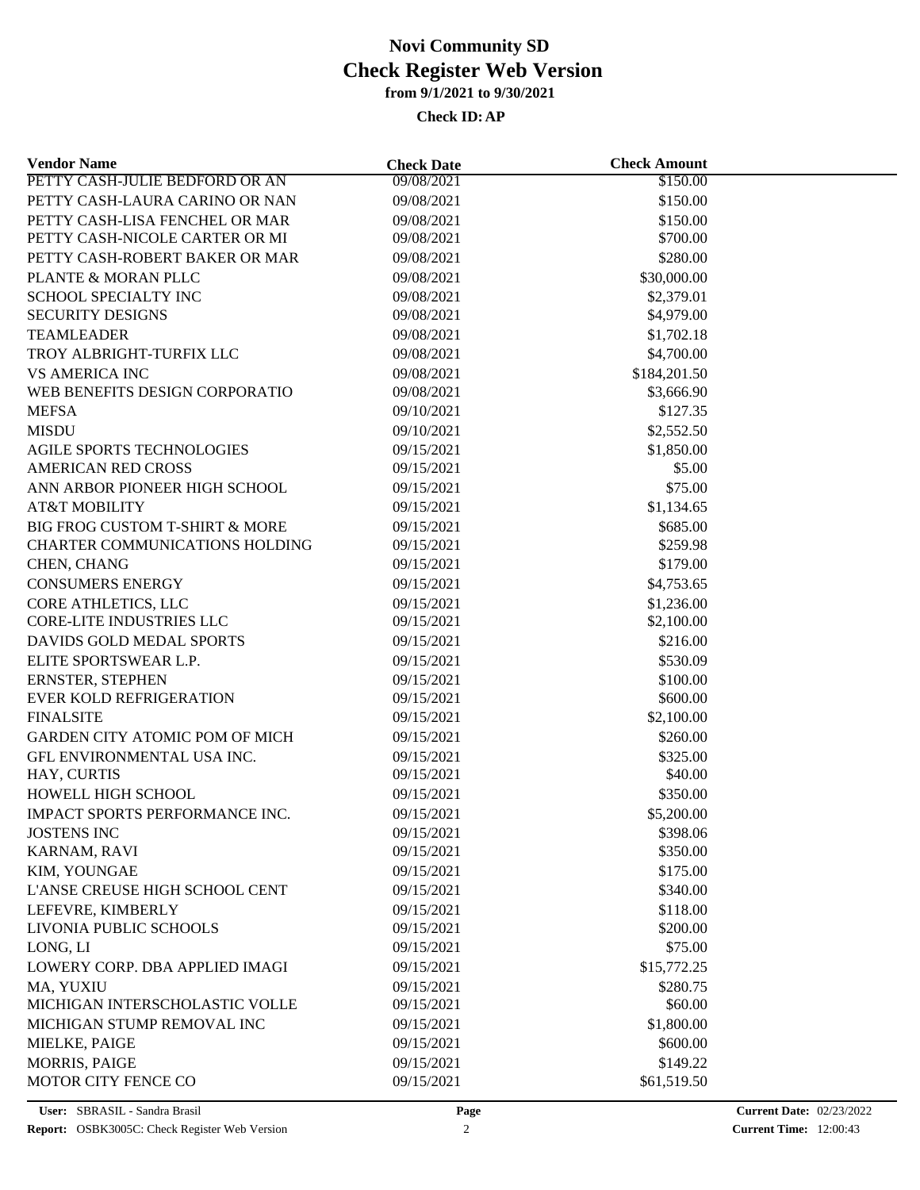| <b>Vendor Name</b>                    | <b>Check Date</b> | <b>Check Amount</b> |  |
|---------------------------------------|-------------------|---------------------|--|
| PETTY CASH-JULIE BEDFORD OR AN        | 09/08/2021        | \$150.00            |  |
| PETTY CASH-LAURA CARINO OR NAN        | 09/08/2021        | \$150.00            |  |
| PETTY CASH-LISA FENCHEL OR MAR        | 09/08/2021        | \$150.00            |  |
| PETTY CASH-NICOLE CARTER OR MI        | 09/08/2021        | \$700.00            |  |
| PETTY CASH-ROBERT BAKER OR MAR        | 09/08/2021        | \$280.00            |  |
| PLANTE & MORAN PLLC                   | 09/08/2021        | \$30,000.00         |  |
| <b>SCHOOL SPECIALTY INC</b>           | 09/08/2021        | \$2,379.01          |  |
| <b>SECURITY DESIGNS</b>               | 09/08/2021        | \$4,979.00          |  |
| <b>TEAMLEADER</b>                     | 09/08/2021        | \$1,702.18          |  |
| TROY ALBRIGHT-TURFIX LLC              | 09/08/2021        | \$4,700.00          |  |
| <b>VS AMERICA INC</b>                 | 09/08/2021        | \$184,201.50        |  |
| WEB BENEFITS DESIGN CORPORATIO        | 09/08/2021        | \$3,666.90          |  |
| <b>MEFSA</b>                          | 09/10/2021        | \$127.35            |  |
| <b>MISDU</b>                          | 09/10/2021        | \$2,552.50          |  |
| <b>AGILE SPORTS TECHNOLOGIES</b>      | 09/15/2021        | \$1,850.00          |  |
| <b>AMERICAN RED CROSS</b>             | 09/15/2021        | \$5.00              |  |
| ANN ARBOR PIONEER HIGH SCHOOL         | 09/15/2021        | \$75.00             |  |
| <b>AT&amp;T MOBILITY</b>              | 09/15/2021        | \$1,134.65          |  |
| BIG FROG CUSTOM T-SHIRT & MORE        | 09/15/2021        | \$685.00            |  |
| <b>CHARTER COMMUNICATIONS HOLDING</b> | 09/15/2021        | \$259.98            |  |
| CHEN, CHANG                           | 09/15/2021        | \$179.00            |  |
| <b>CONSUMERS ENERGY</b>               | 09/15/2021        | \$4,753.65          |  |
| CORE ATHLETICS, LLC                   | 09/15/2021        | \$1,236.00          |  |
| <b>CORE-LITE INDUSTRIES LLC</b>       | 09/15/2021        | \$2,100.00          |  |
| DAVIDS GOLD MEDAL SPORTS              | 09/15/2021        | \$216.00            |  |
| ELITE SPORTSWEAR L.P.                 | 09/15/2021        | \$530.09            |  |
| ERNSTER, STEPHEN                      | 09/15/2021        | \$100.00            |  |
| <b>EVER KOLD REFRIGERATION</b>        | 09/15/2021        | \$600.00            |  |
| <b>FINALSITE</b>                      | 09/15/2021        | \$2,100.00          |  |
| <b>GARDEN CITY ATOMIC POM OF MICH</b> | 09/15/2021        | \$260.00            |  |
| GFL ENVIRONMENTAL USA INC.            | 09/15/2021        | \$325.00            |  |
| HAY, CURTIS                           | 09/15/2021        | \$40.00             |  |
| HOWELL HIGH SCHOOL                    | 09/15/2021        | \$350.00            |  |
| IMPACT SPORTS PERFORMANCE INC.        | 09/15/2021        | \$5,200.00          |  |
| <b>JOSTENS INC</b>                    | 09/15/2021        | \$398.06            |  |
| KARNAM, RAVI                          | 09/15/2021        | \$350.00            |  |
| KIM, YOUNGAE                          | 09/15/2021        | \$175.00            |  |
| L'ANSE CREUSE HIGH SCHOOL CENT        | 09/15/2021        | \$340.00            |  |
| LEFEVRE, KIMBERLY                     | 09/15/2021        | \$118.00            |  |
| LIVONIA PUBLIC SCHOOLS                | 09/15/2021        | \$200.00            |  |
| LONG, LI                              | 09/15/2021        | \$75.00             |  |
| LOWERY CORP. DBA APPLIED IMAGI        | 09/15/2021        | \$15,772.25         |  |
| MA, YUXIU                             | 09/15/2021        | \$280.75            |  |
| MICHIGAN INTERSCHOLASTIC VOLLE        | 09/15/2021        | \$60.00             |  |
| MICHIGAN STUMP REMOVAL INC            | 09/15/2021        | \$1,800.00          |  |
| MIELKE, PAIGE                         | 09/15/2021        | \$600.00            |  |
| <b>MORRIS, PAIGE</b>                  | 09/15/2021        | \$149.22            |  |
| MOTOR CITY FENCE CO                   | 09/15/2021        | \$61,519.50         |  |
|                                       |                   |                     |  |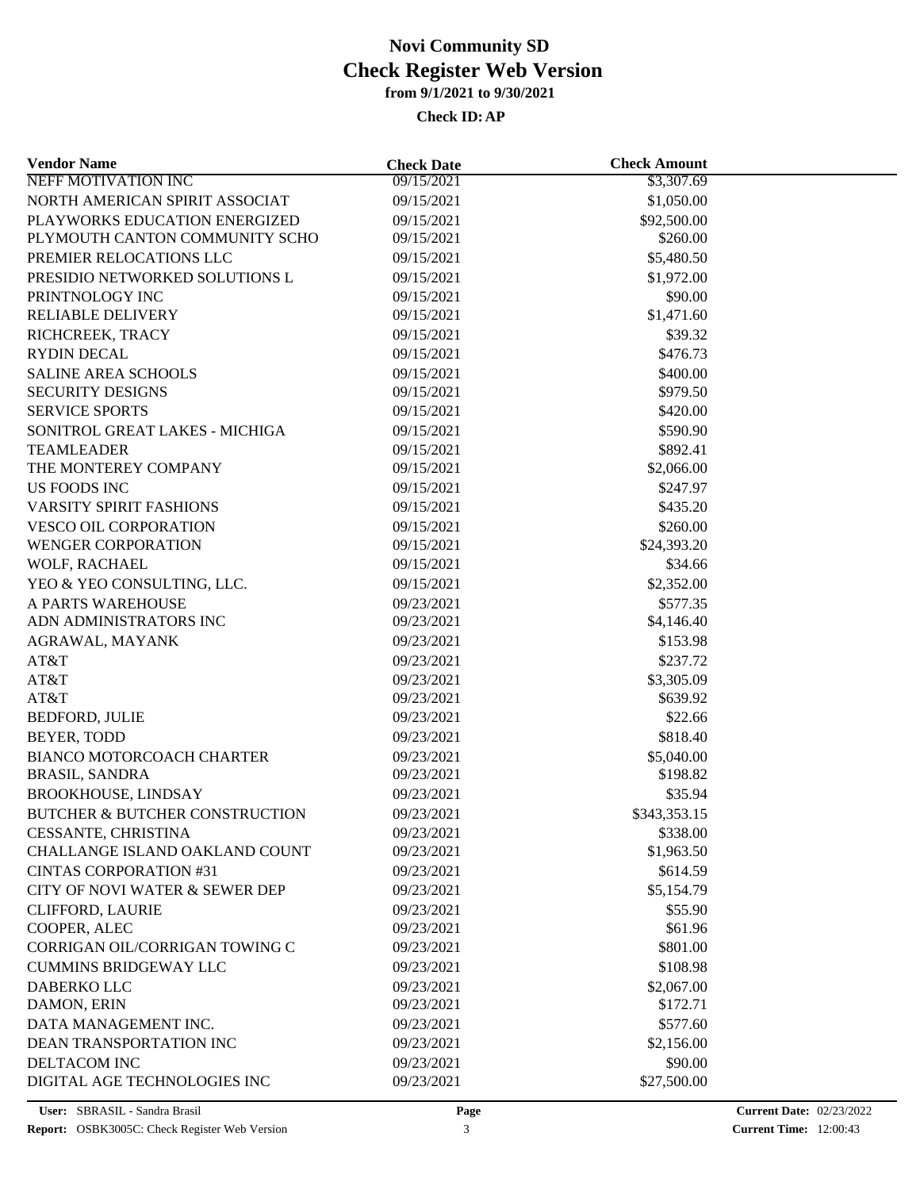| <b>Vendor Name</b>                                           | <b>Check Date</b>        | <b>Check Amount</b>    |  |
|--------------------------------------------------------------|--------------------------|------------------------|--|
| <b>NEFF MOTIVATION INC</b>                                   | 09/15/2021               | \$3,307.69             |  |
| NORTH AMERICAN SPIRIT ASSOCIAT                               | 09/15/2021               | \$1,050.00             |  |
| PLAYWORKS EDUCATION ENERGIZED                                | 09/15/2021               | \$92,500.00            |  |
| PLYMOUTH CANTON COMMUNITY SCHO                               | 09/15/2021               | \$260.00               |  |
| PREMIER RELOCATIONS LLC                                      | 09/15/2021               | \$5,480.50             |  |
| PRESIDIO NETWORKED SOLUTIONS L                               | 09/15/2021               | \$1,972.00             |  |
| PRINTNOLOGY INC                                              | 09/15/2021               | \$90.00                |  |
| <b>RELIABLE DELIVERY</b>                                     | 09/15/2021               | \$1,471.60             |  |
| RICHCREEK, TRACY                                             | 09/15/2021               | \$39.32                |  |
| <b>RYDIN DECAL</b>                                           | 09/15/2021               | \$476.73               |  |
| <b>SALINE AREA SCHOOLS</b>                                   | 09/15/2021               | \$400.00               |  |
| <b>SECURITY DESIGNS</b>                                      | 09/15/2021               | \$979.50               |  |
| <b>SERVICE SPORTS</b>                                        | 09/15/2021               | \$420.00               |  |
| SONITROL GREAT LAKES - MICHIGA                               | 09/15/2021               | \$590.90               |  |
| <b>TEAMLEADER</b>                                            | 09/15/2021               | \$892.41               |  |
| THE MONTEREY COMPANY                                         | 09/15/2021               | \$2,066.00             |  |
| US FOODS INC                                                 | 09/15/2021               | \$247.97               |  |
| <b>VARSITY SPIRIT FASHIONS</b>                               | 09/15/2021               | \$435.20               |  |
| VESCO OIL CORPORATION                                        | 09/15/2021               | \$260.00               |  |
| <b>WENGER CORPORATION</b>                                    | 09/15/2021               | \$24,393.20            |  |
| WOLF, RACHAEL                                                | 09/15/2021               | \$34.66                |  |
| YEO & YEO CONSULTING, LLC.                                   | 09/15/2021               | \$2,352.00             |  |
| A PARTS WAREHOUSE                                            | 09/23/2021               | \$577.35               |  |
| ADN ADMINISTRATORS INC                                       | 09/23/2021               | \$4,146.40             |  |
| AGRAWAL, MAYANK                                              | 09/23/2021               | \$153.98               |  |
| AT&T                                                         | 09/23/2021               | \$237.72               |  |
| AT&T                                                         | 09/23/2021               | \$3,305.09             |  |
| AT&T                                                         | 09/23/2021               | \$639.92               |  |
| <b>BEDFORD, JULIE</b>                                        | 09/23/2021               | \$22.66                |  |
| BEYER, TODD                                                  | 09/23/2021               | \$818.40               |  |
| <b>BIANCO MOTORCOACH CHARTER</b>                             | 09/23/2021               | \$5,040.00             |  |
| <b>BRASIL, SANDRA</b>                                        | 09/23/2021               | \$198.82               |  |
| <b>BROOKHOUSE, LINDSAY</b>                                   | 09/23/2021               | \$35.94                |  |
| <b>BUTCHER &amp; BUTCHER CONSTRUCTION</b>                    | 09/23/2021               | \$343,353.15           |  |
|                                                              |                          | \$338.00               |  |
| CESSANTE, CHRISTINA<br><b>CHALLANGE ISLAND OAKLAND COUNT</b> | 09/23/2021<br>09/23/2021 | \$1,963.50             |  |
| <b>CINTAS CORPORATION #31</b>                                |                          |                        |  |
| CITY OF NOVI WATER & SEWER DEP                               | 09/23/2021               | \$614.59<br>\$5,154.79 |  |
|                                                              | 09/23/2021               |                        |  |
| <b>CLIFFORD, LAURIE</b>                                      | 09/23/2021               | \$55.90                |  |
| COOPER, ALEC                                                 | 09/23/2021               | \$61.96                |  |
| CORRIGAN OIL/CORRIGAN TOWING C                               | 09/23/2021               | \$801.00               |  |
| <b>CUMMINS BRIDGEWAY LLC</b>                                 | 09/23/2021               | \$108.98               |  |
| DABERKO LLC                                                  | 09/23/2021               | \$2,067.00             |  |
| DAMON, ERIN                                                  | 09/23/2021               | \$172.71               |  |
| DATA MANAGEMENT INC.                                         | 09/23/2021               | \$577.60               |  |
| DEAN TRANSPORTATION INC                                      | 09/23/2021               | \$2,156.00             |  |
| DELTACOM INC                                                 | 09/23/2021               | \$90.00                |  |
| DIGITAL AGE TECHNOLOGIES INC                                 | 09/23/2021               | \$27,500.00            |  |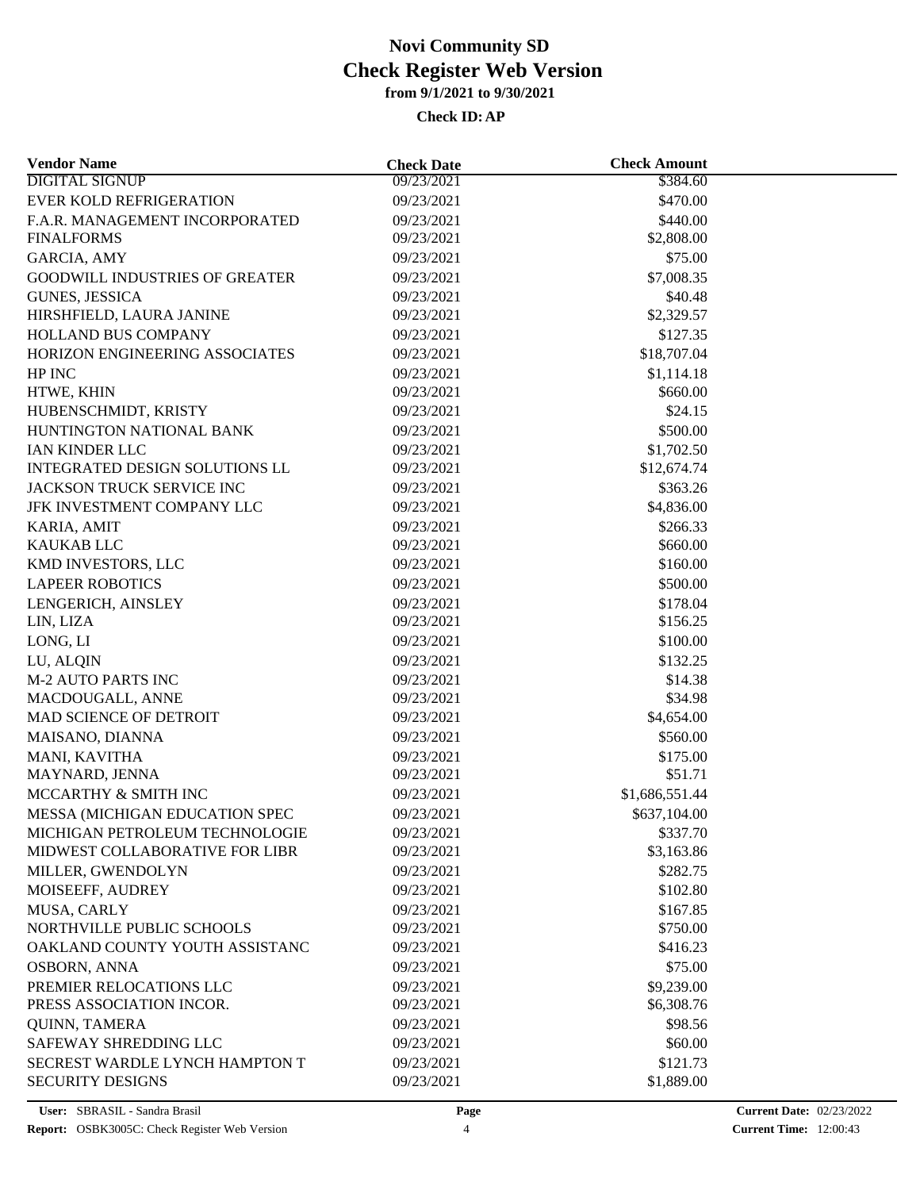| <b>Vendor Name</b>                       | <b>Check Date</b> | <b>Check Amount</b> |  |
|------------------------------------------|-------------------|---------------------|--|
| <b>DIGITAL SIGNUP</b>                    | 09/23/2021        | \$384.60            |  |
| <b>EVER KOLD REFRIGERATION</b>           | 09/23/2021        | \$470.00            |  |
| F.A.R. MANAGEMENT INCORPORATED           | 09/23/2021        | \$440.00            |  |
| <b>FINALFORMS</b>                        | 09/23/2021        | \$2,808.00          |  |
| <b>GARCIA, AMY</b>                       | 09/23/2021        | \$75.00             |  |
| <b>GOODWILL INDUSTRIES OF GREATER</b>    | 09/23/2021        | \$7,008.35          |  |
| GUNES, JESSICA                           | 09/23/2021        | \$40.48             |  |
| HIRSHFIELD, LAURA JANINE                 | 09/23/2021        | \$2,329.57          |  |
| HOLLAND BUS COMPANY                      | 09/23/2021        | \$127.35            |  |
| HORIZON ENGINEERING ASSOCIATES           | 09/23/2021        | \$18,707.04         |  |
| HP INC                                   | 09/23/2021        | \$1,114.18          |  |
| HTWE, KHIN                               | 09/23/2021        | \$660.00            |  |
| HUBENSCHMIDT, KRISTY                     | 09/23/2021        | \$24.15             |  |
| HUNTINGTON NATIONAL BANK                 | 09/23/2021        | \$500.00            |  |
| IAN KINDER LLC                           | 09/23/2021        | \$1,702.50          |  |
| INTEGRATED DESIGN SOLUTIONS LL           | 09/23/2021        | \$12,674.74         |  |
| JACKSON TRUCK SERVICE INC                | 09/23/2021        | \$363.26            |  |
| JFK INVESTMENT COMPANY LLC               | 09/23/2021        | \$4,836.00          |  |
| KARIA, AMIT                              | 09/23/2021        | \$266.33            |  |
| <b>KAUKAB LLC</b>                        | 09/23/2021        | \$660.00            |  |
| KMD INVESTORS, LLC                       | 09/23/2021        | \$160.00            |  |
| <b>LAPEER ROBOTICS</b>                   | 09/23/2021        | \$500.00            |  |
| LENGERICH, AINSLEY                       | 09/23/2021        | \$178.04            |  |
| LIN, LIZA                                | 09/23/2021        | \$156.25            |  |
| LONG, LI                                 | 09/23/2021        | \$100.00            |  |
| LU, ALQIN                                | 09/23/2021        | \$132.25            |  |
| <b>M-2 AUTO PARTS INC</b>                | 09/23/2021        | \$14.38             |  |
| MACDOUGALL, ANNE                         | 09/23/2021        | \$34.98             |  |
| <b>MAD SCIENCE OF DETROIT</b>            | 09/23/2021        | \$4,654.00          |  |
| MAISANO, DIANNA                          | 09/23/2021        | \$560.00            |  |
| MANI, KAVITHA                            | 09/23/2021        | \$175.00            |  |
| MAYNARD, JENNA                           | 09/23/2021        | \$51.71             |  |
| MCCARTHY & SMITH INC                     | 09/23/2021        | \$1,686,551.44      |  |
| MESSA (MICHIGAN EDUCATION SPEC           | 09/23/2021        | \$637,104.00        |  |
| MICHIGAN PETROLEUM TECHNOLOGIE           | 09/23/2021        | \$337.70            |  |
| MIDWEST COLLABORATIVE FOR LIBR           | 09/23/2021        | \$3,163.86          |  |
| MILLER, GWENDOLYN                        | 09/23/2021        | \$282.75            |  |
|                                          | 09/23/2021        |                     |  |
| MOISEEFF, AUDREY                         |                   | \$102.80            |  |
| MUSA, CARLY<br>NORTHVILLE PUBLIC SCHOOLS | 09/23/2021        | \$167.85            |  |
|                                          | 09/23/2021        | \$750.00            |  |
| OAKLAND COUNTY YOUTH ASSISTANC           | 09/23/2021        | \$416.23            |  |
| <b>OSBORN, ANNA</b>                      | 09/23/2021        | \$75.00             |  |
| PREMIER RELOCATIONS LLC                  | 09/23/2021        | \$9,239.00          |  |
| PRESS ASSOCIATION INCOR.                 | 09/23/2021        | \$6,308.76          |  |
| <b>QUINN, TAMERA</b>                     | 09/23/2021        | \$98.56             |  |
| SAFEWAY SHREDDING LLC                    | 09/23/2021        | \$60.00             |  |
| SECREST WARDLE LYNCH HAMPTON T           | 09/23/2021        | \$121.73            |  |
| <b>SECURITY DESIGNS</b>                  | 09/23/2021        | \$1,889.00          |  |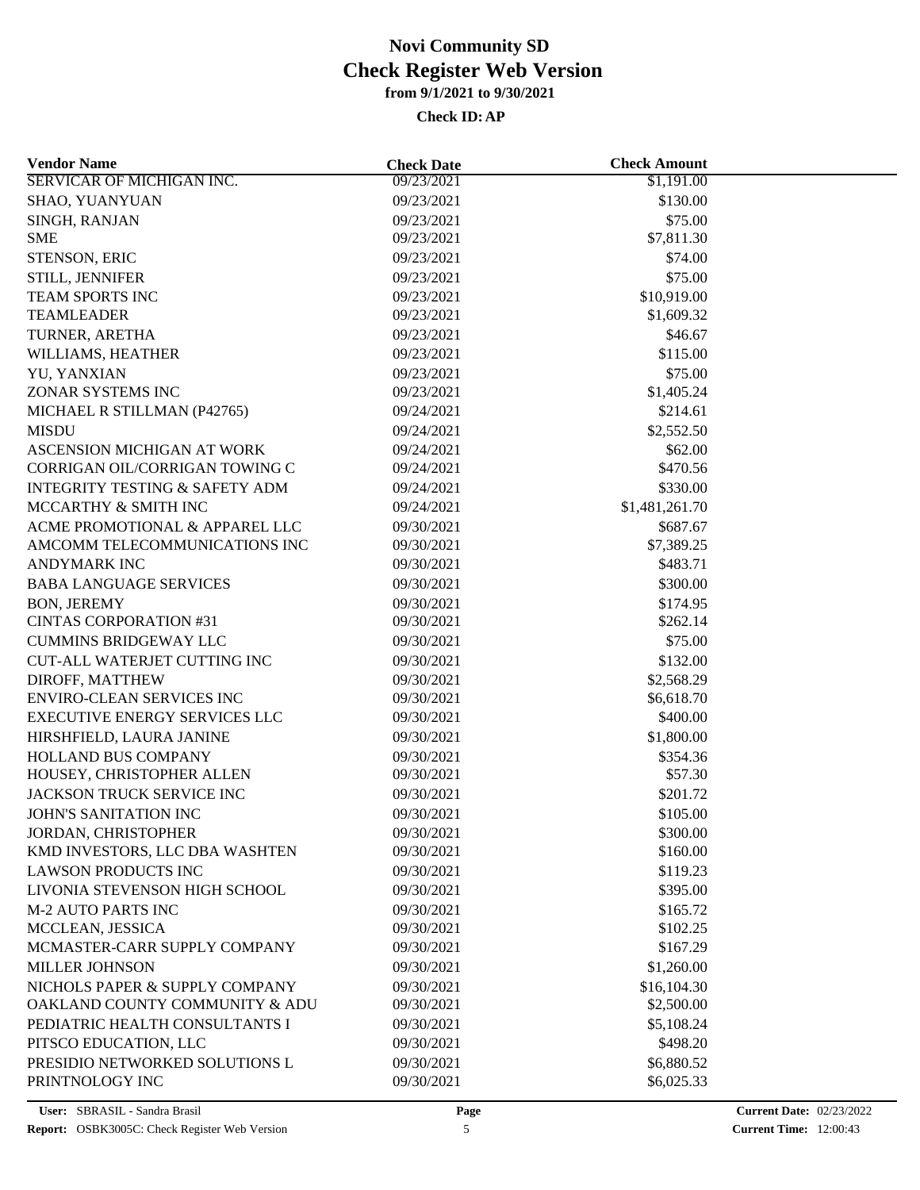| <b>Vendor Name</b>                                  | <b>Check Date</b> | <b>Check Amount</b> |  |
|-----------------------------------------------------|-------------------|---------------------|--|
| <b>SERVICAR OF MICHIGAN INC.</b>                    | 09/23/2021        | \$1,191.00          |  |
| SHAO, YUANYUAN                                      | 09/23/2021        | \$130.00            |  |
| SINGH, RANJAN                                       | 09/23/2021        | \$75.00             |  |
| <b>SME</b>                                          | 09/23/2021        | \$7,811.30          |  |
| STENSON, ERIC                                       | 09/23/2021        | \$74.00             |  |
| STILL, JENNIFER                                     | 09/23/2021        | \$75.00             |  |
| <b>TEAM SPORTS INC</b>                              | 09/23/2021        | \$10,919.00         |  |
| <b>TEAMLEADER</b>                                   | 09/23/2021        | \$1,609.32          |  |
| TURNER, ARETHA                                      | 09/23/2021        | \$46.67             |  |
| WILLIAMS, HEATHER                                   | 09/23/2021        | \$115.00            |  |
| YU, YANXIAN                                         | 09/23/2021        | \$75.00             |  |
| ZONAR SYSTEMS INC                                   | 09/23/2021        | \$1,405.24          |  |
| MICHAEL R STILLMAN (P42765)                         | 09/24/2021        | \$214.61            |  |
| <b>MISDU</b>                                        | 09/24/2021        | \$2,552.50          |  |
| ASCENSION MICHIGAN AT WORK                          | 09/24/2021        | \$62.00             |  |
| CORRIGAN OIL/CORRIGAN TOWING C                      | 09/24/2021        | \$470.56            |  |
| <b>INTEGRITY TESTING &amp; SAFETY ADM</b>           | 09/24/2021        | \$330.00            |  |
| MCCARTHY & SMITH INC                                | 09/24/2021        | \$1,481,261.70      |  |
| ACME PROMOTIONAL & APPAREL LLC                      | 09/30/2021        | \$687.67            |  |
| AMCOMM TELECOMMUNICATIONS INC                       | 09/30/2021        | \$7,389.25          |  |
| ANDYMARK INC                                        | 09/30/2021        | \$483.71            |  |
|                                                     |                   | \$300.00            |  |
| <b>BABA LANGUAGE SERVICES</b>                       | 09/30/2021        |                     |  |
| <b>BON, JEREMY</b><br><b>CINTAS CORPORATION #31</b> | 09/30/2021        | \$174.95            |  |
|                                                     | 09/30/2021        | \$262.14            |  |
| <b>CUMMINS BRIDGEWAY LLC</b>                        | 09/30/2021        | \$75.00             |  |
| CUT-ALL WATERJET CUTTING INC                        | 09/30/2021        | \$132.00            |  |
| DIROFF, MATTHEW                                     | 09/30/2021        | \$2,568.29          |  |
| ENVIRO-CLEAN SERVICES INC                           | 09/30/2021        | \$6,618.70          |  |
| <b>EXECUTIVE ENERGY SERVICES LLC</b>                | 09/30/2021        | \$400.00            |  |
| HIRSHFIELD, LAURA JANINE                            | 09/30/2021        | \$1,800.00          |  |
| HOLLAND BUS COMPANY                                 | 09/30/2021        | \$354.36            |  |
| HOUSEY, CHRISTOPHER ALLEN                           | 09/30/2021        | \$57.30             |  |
| JACKSON TRUCK SERVICE INC                           | 09/30/2021        | \$201.72            |  |
| <b>JOHN'S SANITATION INC</b>                        | 09/30/2021        | \$105.00            |  |
| JORDAN, CHRISTOPHER                                 | 09/30/2021        | \$300.00            |  |
| KMD INVESTORS, LLC DBA WASHTEN                      | 09/30/2021        | \$160.00            |  |
| <b>LAWSON PRODUCTS INC</b>                          | 09/30/2021        | \$119.23            |  |
| LIVONIA STEVENSON HIGH SCHOOL                       | 09/30/2021        | \$395.00            |  |
| <b>M-2 AUTO PARTS INC</b>                           | 09/30/2021        | \$165.72            |  |
| MCCLEAN, JESSICA                                    | 09/30/2021        | \$102.25            |  |
| MCMASTER-CARR SUPPLY COMPANY                        | 09/30/2021        | \$167.29            |  |
| <b>MILLER JOHNSON</b>                               | 09/30/2021        | \$1,260.00          |  |
| NICHOLS PAPER & SUPPLY COMPANY                      | 09/30/2021        | \$16,104.30         |  |
| OAKLAND COUNTY COMMUNITY & ADU                      | 09/30/2021        | \$2,500.00          |  |
| PEDIATRIC HEALTH CONSULTANTS I                      | 09/30/2021        | \$5,108.24          |  |
| PITSCO EDUCATION, LLC                               | 09/30/2021        | \$498.20            |  |
| PRESIDIO NETWORKED SOLUTIONS L                      | 09/30/2021        | \$6,880.52          |  |
| PRINTNOLOGY INC                                     | 09/30/2021        | \$6,025.33          |  |
|                                                     |                   |                     |  |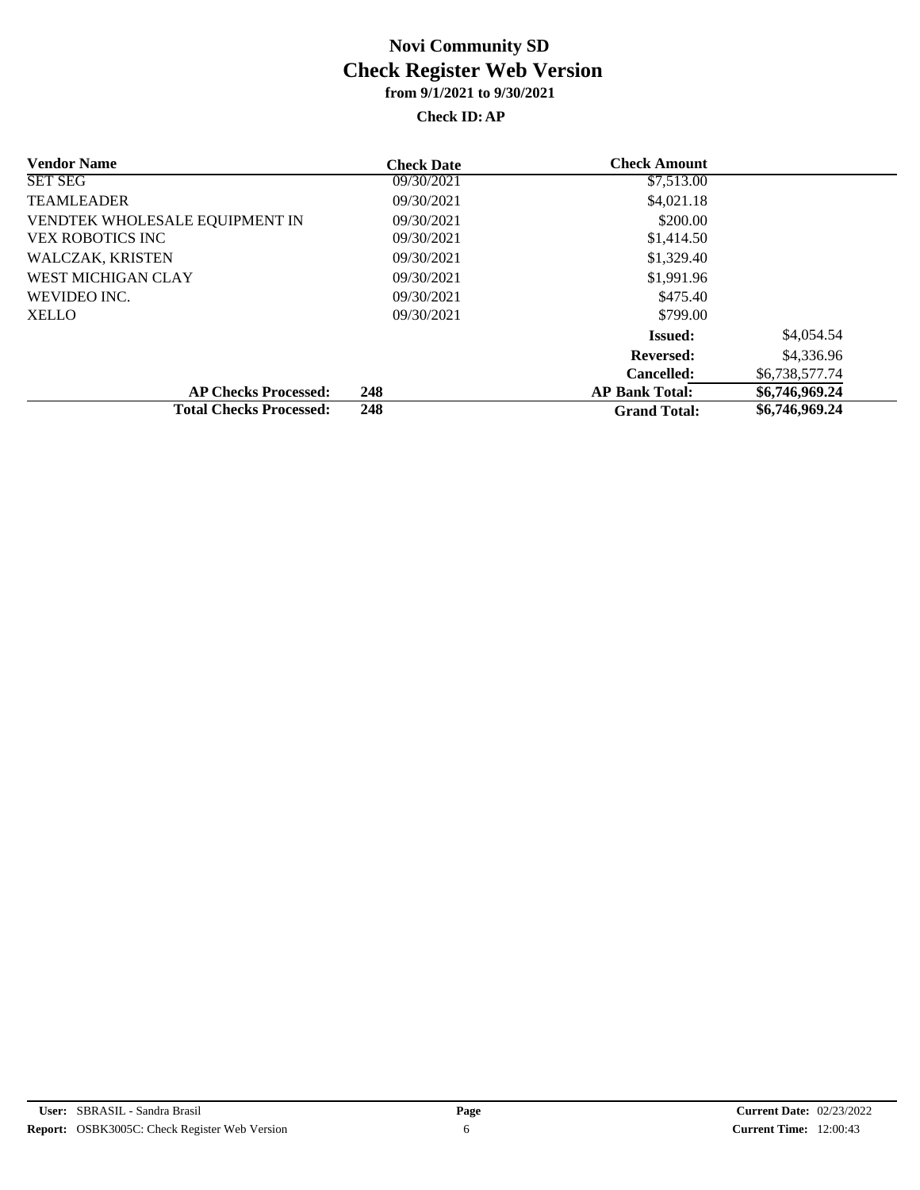| <b>Vendor Name</b>             | <b>Check Date</b> | <b>Check Amount</b>   |                |
|--------------------------------|-------------------|-----------------------|----------------|
| <b>SET SEG</b>                 | 09/30/2021        | \$7,513.00            |                |
| <b>TEAMLEADER</b>              | 09/30/2021        | \$4,021.18            |                |
| VENDTEK WHOLESALE EQUIPMENT IN | 09/30/2021        | \$200.00              |                |
| <b>VEX ROBOTICS INC</b>        | 09/30/2021        | \$1,414.50            |                |
| <b>WALCZAK, KRISTEN</b>        | 09/30/2021        | \$1,329.40            |                |
| <b>WEST MICHIGAN CLAY</b>      | 09/30/2021        | \$1,991.96            |                |
| WEVIDEO INC.                   | 09/30/2021        | \$475.40              |                |
| <b>XELLO</b>                   | 09/30/2021        | \$799.00              |                |
|                                |                   | <b>Issued:</b>        | \$4,054.54     |
|                                |                   | <b>Reversed:</b>      | \$4,336.96     |
|                                |                   | <b>Cancelled:</b>     | \$6,738,577.74 |
| <b>AP Checks Processed:</b>    | 248               | <b>AP Bank Total:</b> | \$6,746,969.24 |
| <b>Total Checks Processed:</b> | 248               | <b>Grand Total:</b>   | \$6,746,969.24 |